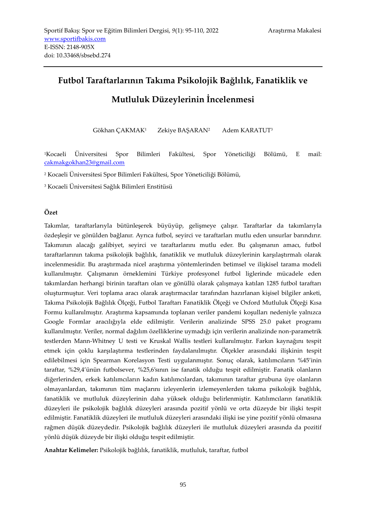# **Futbol Taraftarlarının Takıma Psikolojik Bağlılık, Fanatiklik ve**

# **Mutluluk Düzeylerinin İncelenmesi**

Gökhan ÇAKMAK<sup>1</sup> Zekiye BAŞARAN<sup>2</sup> Adem KARATUT<sup>3</sup>

<sup>1</sup>Kocaeli Üniversitesi Spor Bilimleri Fakültesi, Spor Yöneticiliği Bölümü, E mail: [cakmakgokhan23@gmail.com](mailto:cakmakgokhan23@gmail.com)

<sup>2</sup> Kocaeli Üniversitesi Spor Bilimleri Fakültesi, Spor Yöneticiliği Bölümü,

<sup>3</sup> Kocaeli Üniversitesi Sağlık Bilimleri Enstitüsü

## **Özet**

Takımlar, taraftarlarıyla bütünleşerek büyüyüp, gelişmeye çalışır. Taraftarlar da takımlarıyla özdeşleşir ve gönülden bağlanır. Ayrıca futbol, seyirci ve taraftarları mutlu eden unsurlar barındırır. Takımının alacağı galibiyet, seyirci ve taraftarlarını mutlu eder. Bu çalışmanın amacı, futbol taraftarlarının takıma psikolojik bağlılık, fanatiklik ve mutluluk düzeylerinin karşılaştırmalı olarak incelenmesidir. Bu araştırmada nicel araştırma yöntemlerinden betimsel ve ilişkisel tarama modeli kullanılmıştır. Çalışmanın örneklemini Türkiye profesyonel futbol liglerinde mücadele eden takımlardan herhangi birinin taraftarı olan ve gönüllü olarak çalışmaya katılan 1285 futbol taraftarı oluşturmuştur. Veri toplama aracı olarak araştırmacılar tarafından hazırlanan kişisel bilgiler anketi, Takıma Psikolojik Bağlılık Ölçeği, Futbol Taraftarı Fanatiklik Ölçeği ve Oxford Mutluluk Ölçeği Kısa Formu kullanılmıştır. Araştırma kapsamında toplanan veriler pandemi koşulları nedeniyle yalnızca Google Formlar aracılığıyla elde edilmiştir. Verilerin analizinde SPSS 25.0 paket programı kullanılmıştır. Veriler, normal dağılım özelliklerine uymadığı için verilerin analizinde non-parametrik testlerden Mann-Whitney U testi ve Kruskal Wallis testleri kullanılmıştır. Farkın kaynağını tespit etmek için çoklu karşılaştırma testlerinden faydalanılmıştır. Ölçekler arasındaki ilişkinin tespit edilebilmesi için Spearman Korelasyon Testi uygulanmıştır. Sonuç olarak, katılımcıların %45'inin taraftar, %29,4'ünün futbolsever, %25,6'sının ise fanatik olduğu tespit edilmiştir. Fanatik olanların diğerlerinden, erkek katılımcıların kadın katılımcılardan, takımının taraftar grubuna üye olanların olmayanlardan, takımının tüm maçlarını izleyenlerin izlemeyenlerden takıma psikolojik bağlılık, fanatiklik ve mutluluk düzeylerinin daha yüksek olduğu belirlenmiştir. Katılımcıların fanatiklik düzeyleri ile psikolojik bağlılık düzeyleri arasında pozitif yönlü ve orta düzeyde bir ilişki tespit edilmiştir. Fanatiklik düzeyleri ile mutluluk düzeyleri arasındaki ilişki ise yine pozitif yönlü olmasına rağmen düşük düzeydedir. Psikolojik bağlılık düzeyleri ile mutluluk düzeyleri arasında da pozitif yönlü düşük düzeyde bir ilişki olduğu tespit edilmiştir.

**Anahtar Kelimeler:** Psikolojik bağlılık, fanatiklik, mutluluk, taraftar, futbol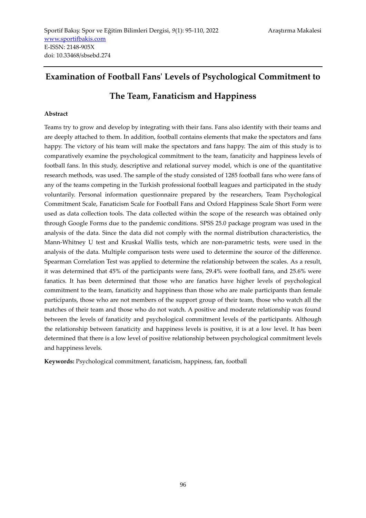# **Examination of Football Fans' Levels of Psychological Commitment to**

**The Team, Fanaticism and Happiness**

# **Abstract**

Teams try to grow and develop by integrating with their fans. Fans also identify with their teams and are deeply attached to them. In addition, football contains elements that make the spectators and fans happy. The victory of his team will make the spectators and fans happy. The aim of this study is to comparatively examine the psychological commitment to the team, fanaticity and happiness levels of football fans. In this study, descriptive and relational survey model, which is one of the quantitative research methods, was used. The sample of the study consisted of 1285 football fans who were fans of any of the teams competing in the Turkish professional football leagues and participated in the study voluntarily. Personal information questionnaire prepared by the researchers, Team Psychological Commitment Scale, Fanaticism Scale for Football Fans and Oxford Happiness Scale Short Form were used as data collection tools. The data collected within the scope of the research was obtained only through Google Forms due to the pandemic conditions. SPSS 25.0 package program was used in the analysis of the data. Since the data did not comply with the normal distribution characteristics, the Mann-Whitney U test and Kruskal Wallis tests, which are non-parametric tests, were used in the analysis of the data. Multiple comparison tests were used to determine the source of the difference. Spearman Correlation Test was applied to determine the relationship between the scales. As a result, it was determined that 45% of the participants were fans, 29.4% were football fans, and 25.6% were fanatics. It has been determined that those who are fanatics have higher levels of psychological commitment to the team, fanaticity and happiness than those who are male participants than female participants, those who are not members of the support group of their team, those who watch all the matches of their team and those who do not watch. A positive and moderate relationship was found between the levels of fanaticity and psychological commitment levels of the participants. Although the relationship between fanaticity and happiness levels is positive, it is at a low level. It has been determined that there is a low level of positive relationship between psychological commitment levels and happiness levels.

**Keywords:** Psychological commitment, fanaticism, happiness, fan, football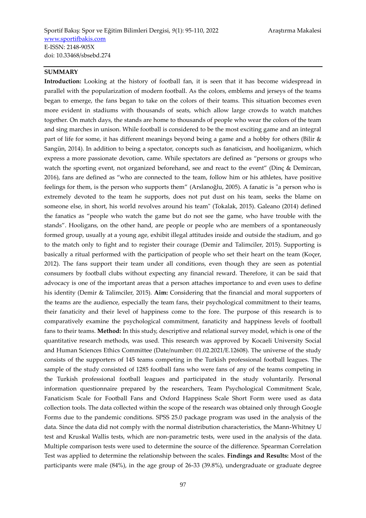## **SUMMARY**

**Introduction:** Looking at the history of football fan, it is seen that it has become widespread in parallel with the popularization of modern football. As the colors, emblems and jerseys of the teams began to emerge, the fans began to take on the colors of their teams. This situation becomes even more evident in stadiums with thousands of seats, which allow large crowds to watch matches together. On match days, the stands are home to thousands of people who wear the colors of the team and sing marches in unison. While football is considered to be the most exciting game and an integral part of life for some, it has different meanings beyond being a game and a hobby for others (Bilir & Sangün, 2014). In addition to being a spectator, concepts such as fanaticism, and hooliganizm, which express a more passionate devotion, came. While spectators are defined as "persons or groups who watch the sporting event, not organized beforehand, see and react to the event" (Dinç & Demircan, 2016), fans are defined as "who are connected to the team, follow him or his athletes, have positive feelings for them, is the person who supports them" (Arslanoğlu, 2005). A fanatic is "a person who is extremely devoted to the team he supports, does not put dust on his team, seeks the blame on someone else, in short, his world revolves around his team" (Tokalak, 2015). Galeano (2014) defined the fanatics as "people who watch the game but do not see the game, who have trouble with the stands". Hooligans, on the other hand, are people or people who are members of a spontaneously formed group, usually at a young age, exhibit illegal attitudes inside and outside the stadium, and go to the match only to fight and to register their courage (Demir and Talimciler, 2015). Supporting is basically a ritual performed with the participation of people who set their heart on the team (Koçer, 2012). The fans support their team under all conditions, even though they are seen as potential consumers by football clubs without expecting any financial reward. Therefore, it can be said that advocacy is one of the important areas that a person attaches importance to and even uses to define his identity (Demir & Talimciler, 2015). **Aim:** Considering that the financial and moral supporters of the teams are the audience, especially the team fans, their psychological commitment to their teams, their fanaticity and their level of happiness come to the fore. The purpose of this research is to comparatively examine the psychological commitment, fanaticity and happiness levels of football fans to their teams. **Method:** In this study, descriptive and relational survey model, which is one of the quantitative research methods, was used. This research was approved by Kocaeli University Social and Human Sciences Ethics Committee (Date/number: 01.02.2021/E.12608). The universe of the study consists of the supporters of 145 teams competing in the Turkish professional football leagues. The sample of the study consisted of 1285 football fans who were fans of any of the teams competing in the Turkish professional football leagues and participated in the study voluntarily. Personal information questionnaire prepared by the researchers, Team Psychological Commitment Scale, Fanaticism Scale for Football Fans and Oxford Happiness Scale Short Form were used as data collection tools. The data collected within the scope of the research was obtained only through Google Forms due to the pandemic conditions. SPSS 25.0 package program was used in the analysis of the data. Since the data did not comply with the normal distribution characteristics, the Mann-Whitney U test and Kruskal Wallis tests, which are non-parametric tests, were used in the analysis of the data. Multiple comparison tests were used to determine the source of the difference. Spearman Correlation Test was applied to determine the relationship between the scales. **Findings and Results:** Most of the participants were male (84%), in the age group of 26-33 (39.8%), undergraduate or graduate degree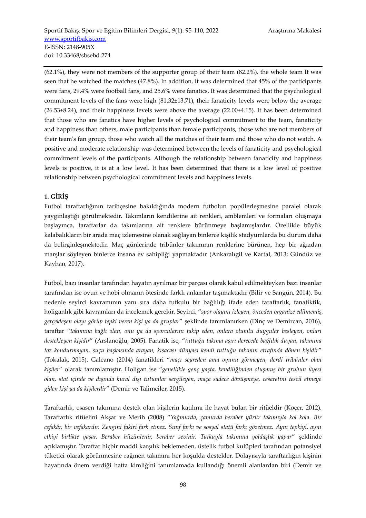(62.1%), they were not members of the supporter group of their team (82.2%), the whole team It was seen that he watched the matches (47.8%). In addition, it was determined that 45% of the participants were fans, 29.4% were football fans, and 25.6% were fanatics. It was determined that the psychological commitment levels of the fans were high (81.32±13.71), their fanaticity levels were below the average  $(26.53±8.24)$ , and their happiness levels were above the average  $(22.00±4.15)$ . It has been determined that those who are fanatics have higher levels of psychological commitment to the team, fanaticity and happiness than others, male participants than female participants, those who are not members of their team's fan group, those who watch all the matches of their team and those who do not watch. A positive and moderate relationship was determined between the levels of fanaticity and psychological commitment levels of the participants. Although the relationship between fanaticity and happiness levels is positive, it is at a low level. It has been determined that there is a low level of positive relationship between psychological commitment levels and happiness levels.

# **1. GİRİŞ**

Futbol taraftarlığının tarihçesine bakıldığında modern futbolun popülerleşmesine paralel olarak yaygınlaştığı görülmektedir. Takımların kendilerine ait renkleri, amblemleri ve formaları oluşmaya başlayınca, taraftarlar da takımlarına ait renklere bürünmeye başlamışlardır. Özellikle büyük kalabalıkların bir arada maç izlemesine olanak sağlayan binlerce kişilik stadyumlarda bu durum daha da belirginleşmektedir. Maç günlerinde tribünler takımının renklerine bürünen, hep bir ağızdan marşlar söyleyen binlerce insana ev sahipliği yapmaktadır (Ankaralıgil ve Kartal, 2013; Gündüz ve Kayhan, 2017).

Futbol, bazı insanlar tarafından hayatın ayrılmaz bir parçası olarak kabul edilmekteyken bazı insanlar tarafından ise oyun ve hobi olmanın ötesinde farklı anlamlar taşımaktadır (Bilir ve Sangün, 2014). Bu nedenle seyirci kavramının yanı sıra daha tutkulu bir bağlılığı ifade eden taraftarlık, fanatiktik, holiganlık gibi kavramları da incelemek gerekir. Seyirci, "*spor olayını izleyen, önceden organize edilmemiş, gerçekleşen olayı görüp tepki veren kişi ya da gruplar*" şeklinde tanımlanırken (Dinç ve Demircan, 2016), taraftar "*takımına bağlı olan, onu ya da sporcularını takip eden, onlara olumlu duygular besleyen, onları destekleyen kişidir*" (Arslanoğlu, 2005). Fanatik ise, "*tuttuğu takıma aşırı derecede bağlılık duyan, takımına toz kondurmayan, suçu başkasında arayan, kısacası dünyası kendi tuttuğu takımın etrafında dönen kişidir*" (Tokalak, 2015). Galeano (2014) fanatikleri "*maçı seyreden ama oyunu görmeyen, derdi tribünler olan kişiler*" olarak tanımlamıştır. Holigan ise "*genellikle genç yaşta, kendiliğinden oluşmuş bir grubun üyesi olan, stat içinde ve dışında kural dışı tutumlar sergileyen, maça sadece dövüşmeye, cesaretini tescil etmeye giden kişi ya da kişilerdir*" (Demir ve Talimciler, 2015).

Taraftarlık, esasen takımına destek olan kişilerin katılımı ile hayat bulan bir ritüeldir (Koçer, 2012). Taraftarlık ritüelini Akşar ve Merih (2008) "*Yağmurda, çamurda beraber yürür takımıyla kol kola. Bir cefakâr, bir vefakardır. Zengini fakiri fark etmez. Sınıf farkı ve sosyal statü farkı gözetmez. Aynı tepkiyi, aynı etkiyi birlikte yaşar. Beraber hüzünlenir, beraber sevinir. Tutkuyla takımına yoldaşlık yapar*" şeklinde açıklamıştır. Taraftar hiçbir maddi karşılık beklemeden, üstelik futbol kulüpleri tarafından potansiyel tüketici olarak görünmesine rağmen takımını her koşulda destekler. Dolayısıyla taraftarlığın kişinin hayatında önem verdiği hatta kimliğini tanımlamada kullandığı önemli alanlardan biri (Demir ve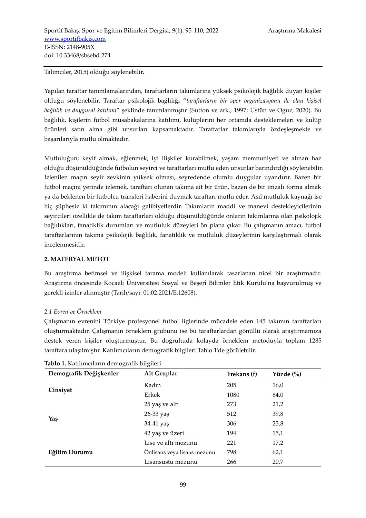Talimciler, 2015) olduğu söylenebilir.

Yapılan taraftar tanımlamalarından, taraftarların takımlarına yüksek psikolojik bağlılık duyan kişiler olduğu söylenebilir. Taraftar psikolojik bağlılığı "*taraftarların bir spor organizasyonu ile olan kişisel bağlılık ve duygusal katılımı*" şeklinde tanımlanmıştır (Sutton ve ark., 1997; Üstün ve Oguz, 2020). Bu bağlılık, kişilerin futbol müsabakalarına katılımı, kulüplerini her ortamda desteklemeleri ve kulüp ürünleri satın alma gibi unsurları kapsamaktadır. Taraftarlar takımlarıyla özdeşleşmekte ve başarılarıyla mutlu olmaktadır.

Mutluluğun; keyif almak, eğlenmek, iyi ilişkiler kurabilmek, yaşam memnuniyeti ve alınan haz olduğu düşünüldüğünde futbolun seyirci ve taraftarları mutlu eden unsurlar barındırdığı söylenebilir. İzlenilen maçın seyir zevkinin yüksek olması, seyredende olumlu duygular uyandırır. Bazen bir futbol maçını yerinde izlemek, taraftarı olunan takıma ait bir ürün, bazen de bir imzalı forma almak ya da beklenen bir futbolcu transferi haberini duymak taraftarı mutlu eder. Asıl mutluluk kaynağı ise hiç şüphesiz ki takımının alacağı galibiyetlerdir. Takımların maddi ve manevi destekleyicilerinin seyircileri özellikle de takım taraftarları olduğu düşünüldüğünde onların takımlarına olan psikolojik bağlılıkları, fanatiklik durumları ve mutluluk düzeyleri ön plana çıkar. Bu çalışmanın amacı, futbol taraftarlarının takıma psikolojik bağlılık, fanatiklik ve mutluluk düzeylerinin karşılaştırmalı olarak incelenmesidir.

## **2. MATERYAL METOT**

Bu araştırma betimsel ve ilişkisel tarama modeli kullanılarak tasarlanan nicel bir araştırmadır. Araştırma öncesinde Kocaeli Üniversitesi Sosyal ve Beşerî Bilimler Etik Kurulu'na başvurulmuş ve gerekli izinler alınmıştır (Tarih/sayı: 01.02.2021/E.12608).

# *2.1 Evren ve Örneklem*

Çalışmanın evrenini Türkiye profesyonel futbol liglerinde mücadele eden 145 takımın taraftarları oluşturmaktadır. Çalışmanın örneklem grubunu ise bu taraftarlardan gönüllü olarak araştırmamıza destek veren kişiler oluşturmuştur. Bu doğrultuda kolayda örneklem metoduyla toplam 1285 taraftara ulaşılmıştır. Katılımcıların demografik bilgileri Tablo 1'de görülebilir.

| ◡                      | ◡                           |             |           |
|------------------------|-----------------------------|-------------|-----------|
| Demografik Değişkenler | Alt Gruplar                 | Frekans (f) | Yüzde (%) |
|                        | Kadın                       | 205         | 16,0      |
| Cinsiyet               | Erkek                       | 1080        | 84,0      |
|                        | 25 yaş ve altı              | 273         | 21,2      |
|                        | 26-33 yaş                   | 512         | 39,8      |
| Yaş                    | 34-41 yaş                   | 306         | 23,8      |
|                        | 42 yaş ve üzeri             | 194         | 15,1      |
|                        | Lise ve altı mezunu         | 221         | 17,2      |
| Eğitim Durumu          | Onlisans veya lisans mezunu | 798         | 62,1      |
|                        | Lisansüstü mezunu           | 266         | 20,7      |

|  | Tablo 1. Katılımcıların demografik bilgileri |  |  |  |  |  |
|--|----------------------------------------------|--|--|--|--|--|
|--|----------------------------------------------|--|--|--|--|--|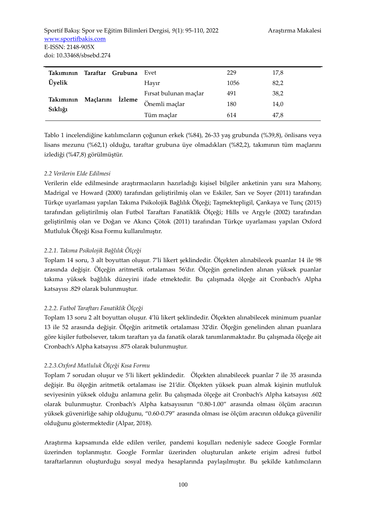| Takımının Taraftar   |                     | Grubuna       | Evet                  | 229  | 17,8 |
|----------------------|---------------------|---------------|-----------------------|------|------|
| Üyelik               |                     |               | Havir                 | 1056 | 82,2 |
| Takımının<br>Sıklığı |                     |               | Firsat bulunan maçlar | 491  | 38,2 |
|                      | Maçlarını<br>Izleme | Önemli maçlar | 180                   | 14,0 |      |
|                      |                     | Tüm maçlar    | 614                   | 47.8 |      |

Tablo 1 incelendiğine katılımcıların çoğunun erkek (%84), 26-33 yaş grubunda (%39,8), önlisans veya lisans mezunu (%62,1) olduğu, taraftar grubuna üye olmadıkları (%82,2), takımının tüm maçlarını izlediği (%47,8) görülmüştür.

# *2.2 Verilerin Elde Edilmesi*

Verilerin elde edilmesinde araştırmacıların hazırladığı kişisel bilgiler anketinin yanı sıra Mahony, Madrigal ve Howard (2000) tarafından geliştirilmiş olan ve Eskiler, Sarı ve Soyer (2011) tarafından Türkçe uyarlaması yapılan Takıma Psikolojik Bağlılık Ölçeği; Taşmektepligil, Çankaya ve Tunç (2015) tarafından geliştirilmiş olan Futbol Taraftarı Fanatiklik Ölçeği; Hills ve Argyle (2002) tarafından geliştirilmiş olan ve Doğan ve Akıncı Çötok (2011) tarafından Türkçe uyarlaması yapılan Oxford Mutluluk Ölçeği Kısa Formu kullanılmıştır.

## *2.2.1. Takıma Psikolojik Bağlılık Ölçeği*

Toplam 14 soru, 3 alt boyuttan oluşur. 7'li likert şeklindedir. Ölçekten alınabilecek puanlar 14 ile 98 arasında değişir. Ölçeğin aritmetik ortalaması 56'dır. Ölçeğin genelinden alınan yüksek puanlar takıma yüksek bağlılık düzeyini ifade etmektedir. Bu çalışmada ölçeğe ait Cronbach's Alpha katsayısı .829 olarak bulunmuştur.

# *2.2.2. Futbol Taraftarı Fanatiklik Ölçeği*

Toplam 13 soru 2 alt boyuttan oluşur. 4'lü likert şeklindedir. Ölçekten alınabilecek minimum puanlar 13 ile 52 arasında değişir. Ölçeğin aritmetik ortalaması 32'dir. Ölçeğin genelinden alınan puanlara göre kişiler futbolsever, takım taraftarı ya da fanatik olarak tanımlanmaktadır. Bu çalışmada ölçeğe ait Cronbach's Alpha katsayısı .875 olarak bulunmuştur.

#### *2.2.3.Oxford Mutluluk Ölçeği Kısa Formu*

Toplam 7 sorudan oluşur ve 5'li likert şeklindedir. Ölçekten alınabilecek puanlar 7 ile 35 arasında değişir. Bu ölçeğin aritmetik ortalaması ise 21'dir. Ölçekten yüksek puan almak kişinin mutluluk seviyesinin yüksek olduğu anlamına gelir. Bu çalışmada ölçeğe ait Cronbach's Alpha katsayısı .602 olarak bulunmuştur. Cronbach's Alpha katsayısının "0.80-1.00" arasında olması ölçüm aracının yüksek güvenirliğe sahip olduğunu, "0.60-0.79" arasında olması ise ölçüm aracının oldukça güvenilir olduğunu göstermektedir (Alpar, 2018).

Araştırma kapsamında elde edilen veriler, pandemi koşulları nedeniyle sadece Google Formlar üzerinden toplanmıştır. Google Formlar üzerinden oluşturulan ankete erişim adresi futbol taraftarlarının oluşturduğu sosyal medya hesaplarında paylaşılmıştır. Bu şekilde katılımcıların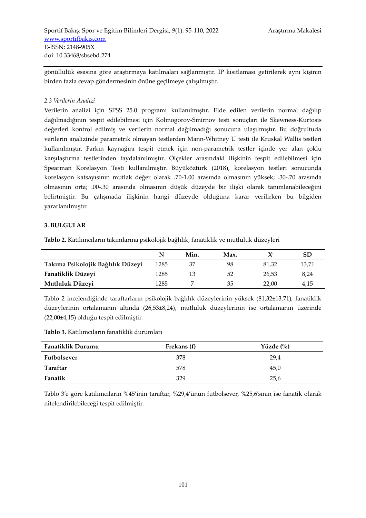gönüllülük esasına göre araştırmaya katılmaları sağlanmıştır. IP kısıtlaması getirilerek aynı kişinin birden fazla cevap göndermesinin önüne geçilmeye çalışılmıştır.

#### *2.3 Verilerin Analizi*

Verilerin analizi için SPSS 25.0 programı kullanılmıştır. Elde edilen verilerin normal dağılıp dağılmadığının tespit edilebilmesi için Kolmogorov-Smirnov testi sonuçları ile Skewness-Kurtosis değerleri kontrol edilmiş ve verilerin normal dağılmadığı sonucuna ulaşılmıştır. Bu doğrultuda verilerin analizinde parametrik olmayan testlerden Mann-Whitney U testi ile Kruskal Wallis testleri kullanılmıştır. Farkın kaynağını tespit etmek için non-parametrik testler içinde yer alan çoklu karşılaştırma testlerinden faydalanılmıştır. Ölçekler arasındaki ilişkinin tespit edilebilmesi için Spearman Korelasyon Testi kullanılmıştır. Büyüköztürk (2018), korelasyon testleri sonucunda korelasyon katsayısının mutlak değer olarak .70-1.00 arasında olmasının yüksek; .30-.70 arasında olmasının orta; .00-.30 arasında olmasının düşük düzeyde bir ilişki olarak tanımlanabileceğini belirtmiştir. Bu çalışmada ilişkinin hangi düzeyde olduğuna karar verilirken bu bilgiden yararlanılmıştır.

## **3. BULGULAR**

**Tablo 2.** Katılımcıların takımlarına psikolojik bağlılık, fanatiklik ve mutluluk düzeyleri

|                                   |      | Min. | Max. |       | SD    |
|-----------------------------------|------|------|------|-------|-------|
| Takıma Psikolojik Bağlılık Düzeyi | 1285 | 37   | 98   | 81.32 | 13,71 |
| Fanatiklik Düzeyi                 | 1285 |      | 52   | 26,53 | 8.24  |
| Mutluluk Düzeyi                   | 1285 |      | 35   | 22,00 | 4,15  |

Tablo 2 incelendiğinde taraftarların psikolojik bağlılık düzeylerinin yüksek (81,32±13,71), fanatiklik düzeylerinin ortalamanın altında (26,53±8,24), mutluluk düzeylerinin ise ortalamanın üzerinde (22,00±4,15) olduğu tespit edilmiştir.

**Tablo 3.** Katılımcıların fanatiklik durumları

| <b>Fanatiklik Durumu</b> | Frekans (f) | Yüzde $\left(\%\right)$ |
|--------------------------|-------------|-------------------------|
| Futbolsever              | 378         | 29,4                    |
| Taraftar                 | 578         | 45,0                    |
| Fanatik                  | 329         | 25,6                    |

Tablo 3'e göre katılımcıların %45'inin taraftar, %29,4'ünün futbolsever, %25,6'sının ise fanatik olarak nitelendirilebileceği tespit edilmiştir.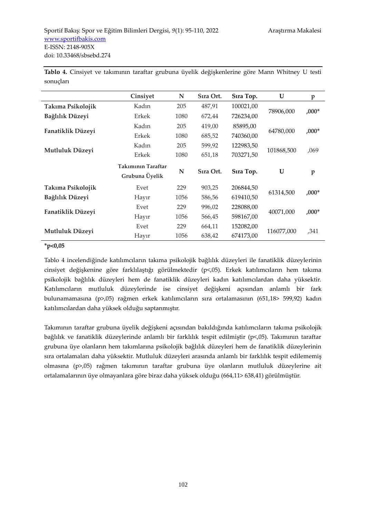|                   | Cinsiyet                             | N    | Sıra Ort. | Sira Top. | U          | $\, {\bf p}$ |
|-------------------|--------------------------------------|------|-----------|-----------|------------|--------------|
| Takıma Psikolojik | Kadın                                | 205  | 487,91    | 100021,00 |            |              |
| Bağlılık Düzeyi   | Erkek                                | 1080 | 672,44    | 726234,00 | 78906,000  | $,000*$      |
|                   | Kadın                                | 205  | 419,00    | 85895,00  |            | $,000*$      |
| Fanatiklik Düzeyi | Erkek                                | 1080 | 685,52    | 740360,00 | 64780,000  |              |
| Mutluluk Düzeyi   | Kadın                                | 205  | 599,92    | 122983,50 | 101868,500 | ,069         |
|                   | Erkek                                | 1080 | 651,18    | 703271,50 |            |              |
|                   | Takımının Taraftar<br>Grubuna Üyelik | N    | Sıra Ort. | Sıra Top. | U          | $\mathbf{p}$ |
| Takıma Psikolojik | Evet                                 | 229  | 903,25    | 206844,50 |            |              |
| Bağlılık Düzeyi   | Hayır                                | 1056 | 586,56    | 619410,50 | 61314,500  | $,000*$      |
| Fanatiklik Düzeyi | Evet                                 | 229  | 996,02    | 228088,00 |            |              |
|                   | Hayır                                | 1056 | 566,45    | 598167,00 | 40071,000  | $,000*$      |
| Mutluluk Düzeyi   | Evet                                 | 229  | 664,11    | 152082,00 | 116077,000 |              |
|                   | Hayır                                | 1056 | 638,42    | 674173,00 |            | ,341         |

**Tablo 4.** Cinsiyet ve takımının taraftar grubuna üyelik değişkenlerine göre Mann Whitney U testi sonuçları

#### **\*p<0,05**

Tablo 4 incelendiğinde katılımcıların takıma psikolojik bağlılık düzeyleri ile fanatiklik düzeylerinin cinsiyet değişkenine göre farklılaştığı görülmektedir (p<,05). Erkek katılımcıların hem takıma psikolojik bağlılık düzeyleri hem de fanatiklik düzeyleri kadın katılımcılardan daha yüksektir. Katılımcıların mutluluk düzeylerinde ise cinsiyet değişkeni açısından anlamlı bir fark bulunamamasına (p>,05) rağmen erkek katılımcıların sıra ortalamasının (651,18> 599,92) kadın katılımcılardan daha yüksek olduğu saptanmıştır.

Takımının taraftar grubuna üyelik değişkeni açısından bakıldığında katılımcıların takıma psikolojik bağlılık ve fanatiklik düzeylerinde anlamlı bir farklılık tespit edilmiştir (p<,05). Takımının taraftar grubuna üye olanların hem takımlarına psikolojik bağlılık düzeyleri hem de fanatiklik düzeylerinin sıra ortalamaları daha yüksektir. Mutluluk düzeyleri arasında anlamlı bir farklılık tespit edilememiş olmasına (p>,05) rağmen takımının taraftar grubuna üye olanların mutluluk düzeylerine ait ortalamalarının üye olmayanlara göre biraz daha yüksek olduğu (664,11> 638,41) görülmüştür.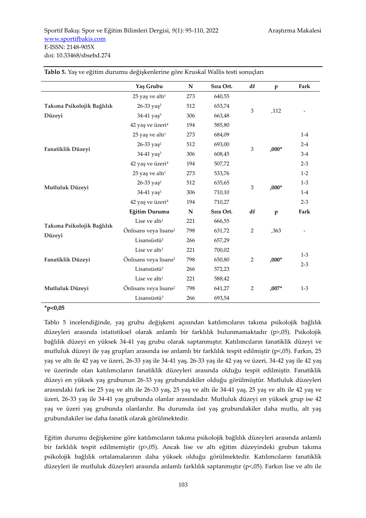|                            | Yaş Grubu                         | ${\bf N}$   | Sıra Ort. | df             | $\mathbf{p}$ | Fark    |
|----------------------------|-----------------------------------|-------------|-----------|----------------|--------------|---------|
|                            | $25$ yaş ve altı <sup>1</sup>     | 273         | 640,55    |                |              |         |
| Takıma Psikolojik Bağlılık | $26-33$ yaş <sup>2</sup>          | 512         | 653,74    |                |              |         |
| Düzeyi                     | 34-41 yaş <sup>3</sup>            | 306         | 663,48    | $\mathfrak{Z}$ | ,112         |         |
|                            | 42 yaş ve üzeri <sup>4</sup>      | 194         | 585,80    |                |              |         |
|                            | $25$ yaş ve altı <sup>1</sup>     | 273         | 684,09    |                |              | $1-4$   |
|                            | 26-33 yaş <sup>2</sup>            | 512         | 693,00    | 3              | $,000*$      | $2 - 4$ |
| Fanatiklik Düzeyi          | $34-41$ yaş <sup>3</sup>          | 306         | 608,45    |                |              | $3-4$   |
|                            | 42 yaş ve üzeri <sup>4</sup>      | 194         | 507,72    |                |              | $2 - 3$ |
| Mutluluk Düzeyi            | $25$ yaş ve altı <sup>1</sup>     | 273         | 533,76    |                |              | $1-2$   |
|                            | 26-33 yaş <sup>2</sup>            | 512         | 635,65    | $\mathfrak{Z}$ |              | $1-3$   |
|                            | 34-41 yaş <sup>3</sup>            | 306         | 710,10    |                | $,000*$      | $1-4$   |
|                            | 42 yaş ve üzeri <sup>4</sup>      | 194         | 710,27    |                |              | $2-3$   |
|                            | Eğitim Durumu                     | $\mathbf N$ | Sıra Ort. | df             | $\mathbf{p}$ | Fark    |
| Takıma Psikolojik Bağlılık | Lise ve alt $11$                  | 221         | 666,55    |                |              |         |
| Düzeyi                     | Önlisans veya lisans <sup>2</sup> | 798         | 631,72    | $\overline{2}$ | ,363         |         |
|                            | Lisansüstü <sup>3</sup>           | 266         | 657,29    |                |              |         |
|                            | Lise ve alt $11$                  | 221         | 700,02    |                |              | $1-3$   |
| Fanatiklik Düzeyi          | Önlisans veya lisans <sup>2</sup> | 798         | 650,80    | $\overline{2}$ | $,000*$      | $2 - 3$ |
|                            | Lisansüstü <sup>3</sup>           | 266         | 572,23    |                |              |         |
|                            | Lise ve alt $11$                  | 221         | 588,42    |                |              |         |
| Mutluluk Düzeyi            | Önlisans veya lisans <sup>2</sup> | 798         | 641,27    | $\overline{2}$ | $.007*$      | $1-3$   |
|                            | Lisansüstü <sup>3</sup>           | 266         | 693,54    |                |              |         |

**Tablo 5.** Yaş ve eğitim durumu değişkenlerine göre Kruskal Wallis testi sonuçları

# **\*p<0,05**

Tablo 5 incelendiğinde, yaş grubu değişkeni açısından katılımcıların takıma psikolojik bağlılık düzeyleri arasında istatistiksel olarak anlamlı bir farklılık bulunmamaktadır (p>,05). Psikolojik bağlılık düzeyi en yüksek 34-41 yaş grubu olarak saptanmıştır. Katılımcıların fanatiklik düzeyi ve mutluluk düzeyi ile yaş grupları arasında ise anlamlı bir farklılık tespit edilmiştir (p<,05). Farkın, 25 yaş ve altı ile 42 yaş ve üzeri, 26-33 yaş ile 34-41 yaş, 26-33 yaş ile 42 yaş ve üzeri, 34-42 yaş ile 42 yaş ve üzerinde olan katılımcıların fanatiklik düzeyleri arasında olduğu tespit edilmiştir. Fanatiklik düzeyi en yüksek yaş grubunun 26-33 yaş grubundakiler olduğu görülmüştür. Mutluluk düzeyleri arasındaki fark ise 25 yaş ve altı ile 26-33 yaş, 25 yaş ve altı ile 34-41 yaş, 25 yaş ve altı ile 42 yaş ve üzeri, 26-33 yaş ile 34-41 yaş grubunda olanlar arasındadır. Mutluluk düzeyi en yüksek grup ise 42 yaş ve üzeri yaş grubunda olanlardır. Bu durumda üst yaş grubundakiler daha mutlu, alt yaş grubundakiler ise daha fanatik olarak görülmektedir.

Eğitim durumu değişkenine göre katılımcıların takıma psikolojik bağlılık düzeyleri arasında anlamlı bir farklılık tespit edilmemiştir (p>,05). Ancak lise ve altı eğitim düzeyindeki grubun takıma psikolojik bağlılık ortalamalarının daha yüksek olduğu görülmektedir. Katılımcıların fanatiklik düzeyleri ile mutluluk düzeyleri arasında anlamlı farklılık saptanmıştır (p<,05). Farkın lise ve altı ile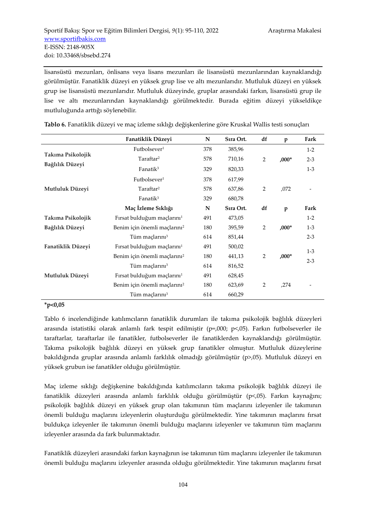lisansüstü mezunları, önlisans veya lisans mezunları ile lisansüstü mezunlarından kaynaklandığı görülmüştür. Fanatiklik düzeyi en yüksek grup lise ve altı mezunlarıdır. Mutluluk düzeyi en yüksek grup ise lisansüstü mezunlarıdır. Mutluluk düzeyinde, gruplar arasındaki farkın, lisansüstü grup ile lise ve altı mezunlarından kaynaklandığı görülmektedir. Burada eğitim düzeyi yükseldikçe mutluluğunda arttığı söylenebilir.

|                   | Fanatiklik Düzeyi                        | N   | Sıra Ort. | df             | $\mathbf{p}$ | Fark    |
|-------------------|------------------------------------------|-----|-----------|----------------|--------------|---------|
|                   | Futbolsever <sup>1</sup>                 | 378 | 385,96    |                |              | $1-2$   |
| Takıma Psikolojik | Taraftar <sup>2</sup>                    | 578 | 710,16    | $\overline{2}$ | $0.00*$      | $2 - 3$ |
| Bağlılık Düzeyi   | Fanatik <sup>3</sup>                     | 329 | 820,33    |                |              | $1-3$   |
|                   | Futbolsever <sup>1</sup>                 | 378 | 617,99    |                |              |         |
| Mutluluk Düzeyi   | Taraftar <sup>2</sup>                    | 578 | 637,86    | $\overline{2}$ | ,072         |         |
|                   | Fanati $k^3$                             | 329 | 680,78    |                |              |         |
|                   | Maç İzleme Sıklığı                       | N   | Sira Ort. | df             | $\mathbf{p}$ | Fark    |
| Takıma Psikolojik | Fırsat bulduğum maçlarını <sup>1</sup>   | 491 | 473,05    |                |              | $1-2$   |
| Bağlılık Düzeyi   | Benim için önemli maçlarını <sup>2</sup> | 180 | 395,59    | 2              | $0.00*$      | $1-3$   |
|                   | Tüm maçlarını <sup>3</sup>               | 614 | 851,44    |                |              | $2 - 3$ |
| Fanatiklik Düzeyi | Fırsat bulduğum maçlarını <sup>1</sup>   | 491 | 500,02    |                |              | $1-3$   |
|                   | Benim için önemli maçlarını <sup>2</sup> | 180 | 441,13    | $\overline{2}$ | $,000*$      | $2 - 3$ |
|                   | Tüm maçlarını <sup>3</sup>               | 614 | 816,52    |                |              |         |
| Mutluluk Düzeyi   | Fırsat bulduğum maçlarını <sup>1</sup>   | 491 | 628,45    |                |              |         |
|                   | Benim için önemli maçlarını <sup>2</sup> | 180 | 623,69    | $\overline{2}$ | ,274         |         |
|                   | Tüm maçlarını <sup>3</sup>               | 614 | 660,29    |                |              |         |

**Tablo 6.** Fanatiklik düzeyi ve maç izleme sıklığı değişkenlerine göre Kruskal Wallis testi sonuçları

## **\*p<0,05**

Tablo 6 incelendiğinde katılımcıların fanatiklik durumları ile takıma psikolojik bağlılık düzeyleri arasında istatistiki olarak anlamlı fark tespit edilmiştir (p=,000; p<,05). Farkın futbolseverler ile taraftarlar, taraftarlar ile fanatikler, futbolseverler ile fanatiklerden kaynaklandığı görülmüştür. Takıma psikolojik bağlılık düzeyi en yüksek grup fanatikler olmuştur. Mutluluk düzeylerine bakıldığında gruplar arasında anlamlı farklılık olmadığı görülmüştür (p>,05). Mutluluk düzeyi en yüksek grubun ise fanatikler olduğu görülmüştür.

Maç izleme sıklığı değişkenine bakıldığında katılımcıların takıma psikolojik bağlılık düzeyi ile fanatiklik düzeyleri arasında anlamlı farklılık olduğu görülmüştür (p<,05). Farkın kaynağını; psikolojik bağlılık düzeyi en yüksek grup olan takımının tüm maçlarını izleyenler ile takımının önemli bulduğu maçlarını izleyenlerin oluşturduğu görülmektedir. Yine takımının maçlarını fırsat buldukça izleyenler ile takımının önemli bulduğu maçlarını izleyenler ve takımının tüm maçlarını izleyenler arasında da fark bulunmaktadır.

Fanatiklik düzeyleri arasındaki farkın kaynağının ise takımının tüm maçlarını izleyenler ile takımının önemli bulduğu maçlarını izleyenler arasında olduğu görülmektedir. Yine takımının maçlarını fırsat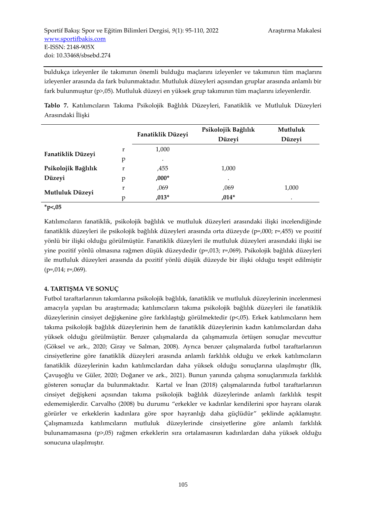buldukça izleyenler ile takımının önemli bulduğu maçlarını izleyenler ve takımının tüm maçlarını izleyenler arasında da fark bulunmaktadır. Mutluluk düzeyleri açısından gruplar arasında anlamlı bir fark bulunmuştur (p>,05). Mutluluk düzeyi en yüksek grup takımının tüm maçlarını izleyenlerdir.

**Tablo 7.** Katılımcıların Takıma Psikolojik Bağlılık Düzeyleri, Fanatiklik ve Mutluluk Düzeyleri Arasındaki İlişki

|                     |   | Fanatiklik Düzeyi | Psikolojik Bağlılık | Mutluluk |
|---------------------|---|-------------------|---------------------|----------|
|                     |   |                   | Düzeyi              | Düzeyi   |
| Fanatiklik Düzeyi   | r | 1,000             |                     |          |
|                     | p | ٠                 |                     |          |
| Psikolojik Bağlılık | r | ,455              | 1,000               |          |
| Düzeyi              | р | $,000*$           | ٠                   |          |
| Mutluluk Düzeyi     | r | ,069              | ,069                | 1,000    |
|                     | p | $,013*$           | $,014*$             | ٠        |

**\*p<,05**

Katılımcıların fanatiklik, psikolojik bağlılık ve mutluluk düzeyleri arasındaki ilişki incelendiğinde fanatiklik düzeyleri ile psikolojik bağlılık düzeyleri arasında orta düzeyde (p=,000; r=,455) ve pozitif yönlü bir ilişki olduğu görülmüştür. Fanatiklik düzeyleri ile mutluluk düzeyleri arasındaki ilişki ise yine pozitif yönlü olmasına rağmen düşük düzeydedir (p=,013; r=,069). Psikolojik bağlılık düzeyleri ile mutluluk düzeyleri arasında da pozitif yönlü düşük düzeyde bir ilişki olduğu tespit edilmiştir  $(p=014; r=.069)$ .

# **4. TARTIŞMA VE SONUÇ**

Futbol taraftarlarının takımlarına psikolojik bağlılık, fanatiklik ve mutluluk düzeylerinin incelenmesi amacıyla yapılan bu araştırmada; katılımcıların takıma psikolojik bağlılık düzeyleri ile fanatiklik düzeylerinin cinsiyet değişkenine göre farklılaştığı görülmektedir (p<,05). Erkek katılımcıların hem takıma psikolojik bağlılık düzeylerinin hem de fanatiklik düzeylerinin kadın katılımcılardan daha yüksek olduğu görülmüştür. Benzer çalışmalarda da çalışmamızla örtüşen sonuçlar mevcuttur (Göksel ve ark., 2020; Giray ve Salman, 2008). Ayrıca benzer çalışmalarda futbol taraftarlarının cinsiyetlerine göre fanatiklik düzeyleri arasında anlamlı farklılık olduğu ve erkek katılımcıların fanatiklik düzeylerinin kadın katılımcılardan daha yüksek olduğu sonuçlarına ulaşılmıştır (İlk, Çavuşoğlu ve Güler, 2020; Doğaner ve ark., 2021). Bunun yanında çalışma sonuçlarımızla farklılık gösteren sonuçlar da bulunmaktadır. Kartal ve İnan (2018) çalışmalarında futbol taraftarlarının cinsiyet değişkeni açısından takıma psikolojik bağlılık düzeylerinde anlamlı farklılık tespit edememişlerdir. Carvalho (2008) bu durumu "erkekler ve kadınlar kendilerini spor hayranı olarak görürler ve erkeklerin kadınlara göre spor hayranlığı daha güçlüdür" şeklinde açıklamıştır. Çalışmamızda katılımcıların mutluluk düzeylerinde cinsiyetlerine göre anlamlı farklılık bulunamamasına (p>,05) rağmen erkeklerin sıra ortalamasının kadınlardan daha yüksek olduğu sonucuna ulaşılmıştır.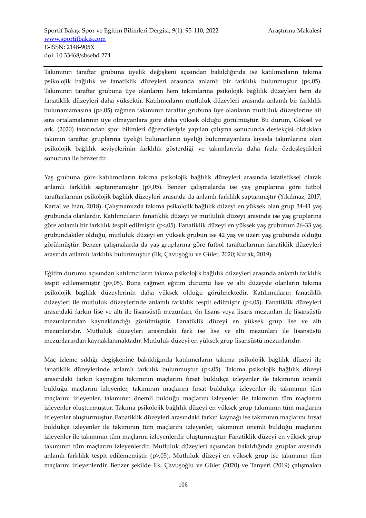Takımının taraftar grubuna üyelik değişkeni açısından bakıldığında ise katılımcıların takıma psikolojik bağlılık ve fanatiklik düzeyleri arasında anlamlı bir farklılık bulunmuştur (p<,05). Takımının taraftar grubuna üye olanların hem takımlarına psikolojik bağlılık düzeyleri hem de fanatiklik düzeyleri daha yüksektir. Katılımcıların mutluluk düzeyleri arasında anlamlı bir farklılık bulunamamasına (p>,05) rağmen takımının taraftar grubuna üye olanların mutluluk düzeylerine ait sıra ortalamalarının üye olmayanlara göre daha yüksek olduğu görülmüştür. Bu durum, Göksel ve ark. (2020) tarafından spor bilimleri öğrencileriyle yapılan çalışma sonucunda destekçisi oldukları takımın taraftar gruplarına üyeliği bulunanların üyeliği bulunmayanlara kıyasla takımlarına olan psikolojik bağlılık seviyelerinin farklılık gösterdiği ve takımlarıyla daha fazla özdeşleştikleri sonucuna ile benzerdir.

Yaş grubuna göre katılımcıların takıma psikolojik bağlılık düzeyleri arasında istatistiksel olarak anlamlı farklılık saptanmamıştır (p>,05). Benzer çalışmalarda ise yaş gruplarına göre futbol taraftarlarının psikolojik bağlılık düzeyleri arasında da anlamlı farklılık saptanmıştır (Yıkılmaz, 2017; Kartal ve İnan, 2018). Çalışmamızda takıma psikolojik bağlılık düzeyi en yüksek olan grup 34-41 yaş grubunda olanlardır. Katılımcıların fanatiklik düzeyi ve mutluluk düzeyi arasında ise yaş gruplarına göre anlamlı bir farklılık tespit edilmiştir (p<,05). Fanatiklik düzeyi en yüksek yaş grubunun 26-33 yaş grubundakiler olduğu, mutluluk düzeyi en yüksek grubun ise 42 yaş ve üzeri yaş grubunda olduğu görülmüştür. Benzer çalışmalarda da yaş gruplarına göre futbol taraftarlarının fanatiklik düzeyleri arasında anlamlı farklılık bulunmuştur (İlk, Çavuşoğlu ve Güler, 2020; Kurak, 2019).

Eğitim durumu açısından katılımcıların takıma psikolojik bağlılık düzeyleri arasında anlamlı farklılık tespit edilememiştir (p>,05). Buna rağmen eğitim durumu lise ve altı düzeyde olanların takıma psikolojik bağlılık düzeylerinin daha yüksek olduğu görülmektedir. Katılımcıların fanatiklik düzeyleri ile mutluluk düzeylerinde anlamlı farklılık tespit edilmiştir (p<,05). Fanatiklik düzeyleri arasındaki farkın lise ve altı ile lisansüstü mezunları, ön lisans veya lisans mezunları ile lisansüstü mezunlarından kaynaklandığı görülmüştür. Fanatiklik düzeyi en yüksek grup lise ve altı mezunlarıdır. Mutluluk düzeyleri arasındaki fark ise lise ve altı mezunları ile lisansüstü mezunlarından kaynaklanmaktadır. Mutluluk düzeyi en yüksek grup lisansüstü mezunlarıdır.

Maç izleme sıklığı değişkenine bakıldığında katılımcıların takıma psikolojik bağlılık düzeyi ile fanatiklik düzeylerinde anlamlı farklılık bulunmuştur (p<,05). Takıma psikolojik bağlılık düzeyi arasındaki farkın kaynağını takımının maçlarını fırsat buldukça izleyenler ile takımının önemli bulduğu maçlarını izleyenler, takımının maçlarını fırsat buldukça izleyenler ile takımının tüm maçlarını izleyenler, takımının önemli bulduğu maçlarını izleyenler ile takımının tüm maçlarını izleyenler oluşturmuştur. Takıma psikolojik bağlılık düzeyi en yüksek grup takımının tüm maçlarını izleyenler oluşturmuştur. Fanatiklik düzeyleri arasındaki farkın kaynağı ise takımının maçlarını fırsat buldukça izleyenler ile takımının tüm maçlarını izleyenler, takımının önemli bulduğu maçlarını izleyenler ile takımının tüm maçlarını izleyenlerdir oluşturmuştur. Fanatiklik düzeyi en yüksek grup takımının tüm maçlarını izleyenlerdir. Mutluluk düzeyleri açısından bakıldığında gruplar arasında anlamlı farklılık tespit edilememiştir (p>,05). Mutluluk düzeyi en yüksek grup ise takımının tüm maçlarını izleyenlerdir. Benzer şekilde İlk, Çavuşoğlu ve Güler (2020) ve Tanyeri (2019) çalışmaları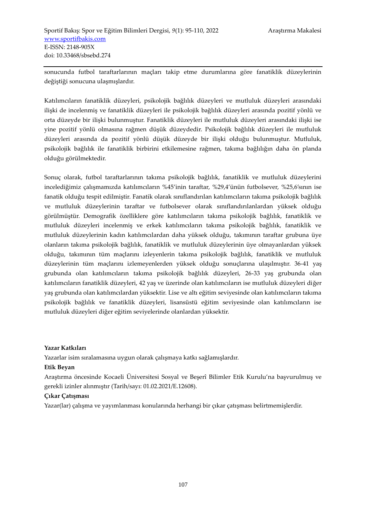sonucunda futbol taraftarlarının maçları takip etme durumlarına göre fanatiklik düzeylerinin değiştiği sonucuna ulaşmışlardır.

Katılımcıların fanatiklik düzeyleri, psikolojik bağlılık düzeyleri ve mutluluk düzeyleri arasındaki ilişki de incelenmiş ve fanatiklik düzeyleri ile psikolojik bağlılık düzeyleri arasında pozitif yönlü ve orta düzeyde bir ilişki bulunmuştur. Fanatiklik düzeyleri ile mutluluk düzeyleri arasındaki ilişki ise yine pozitif yönlü olmasına rağmen düşük düzeydedir. Psikolojik bağlılık düzeyleri ile mutluluk düzeyleri arasında da pozitif yönlü düşük düzeyde bir ilişki olduğu bulunmuştur. Mutluluk, psikolojik bağlılık ile fanatiklik birbirini etkilemesine rağmen, takıma bağlılığın daha ön planda olduğu görülmektedir.

Sonuç olarak, futbol taraftarlarının takıma psikolojik bağlılık, fanatiklik ve mutluluk düzeylerini incelediğimiz çalışmamızda katılımcıların %45'inin taraftar, %29,4'ünün futbolsever, %25,6'sının ise fanatik olduğu tespit edilmiştir. Fanatik olarak sınıflandırılan katılımcıların takıma psikolojik bağlılık ve mutluluk düzeylerinin taraftar ve futbolsever olarak sınıflandırılanlardan yüksek olduğu görülmüştür. Demografik özelliklere göre katılımcıların takıma psikolojik bağlılık, fanatiklik ve mutluluk düzeyleri incelenmiş ve erkek katılımcıların takıma psikolojik bağlılık, fanatiklik ve mutluluk düzeylerinin kadın katılımcılardan daha yüksek olduğu, takımının taraftar grubuna üye olanların takıma psikolojik bağlılık, fanatiklik ve mutluluk düzeylerinin üye olmayanlardan yüksek olduğu, takımının tüm maçlarını izleyenlerin takıma psikolojik bağlılık, fanatiklik ve mutluluk düzeylerinin tüm maçlarını izlemeyenlerden yüksek olduğu sonuçlarına ulaşılmıştır. 36-41 yaş grubunda olan katılımcıların takıma psikolojik bağlılık düzeyleri, 26-33 yaş grubunda olan katılımcıların fanatiklik düzeyleri, 42 yaş ve üzerinde olan katılımcıların ise mutluluk düzeyleri diğer yaş grubunda olan katılımcılardan yüksektir. Lise ve altı eğitim seviyesinde olan katılımcıların takıma psikolojik bağlılık ve fanatiklik düzeyleri, lisansüstü eğitim seviyesinde olan katılımcıların ise mutluluk düzeyleri diğer eğitim seviyelerinde olanlardan yüksektir.

#### **Yazar Katkıları**

Yazarlar isim sıralamasına uygun olarak çalışmaya katkı sağlamışlardır.

#### **Etik Beyan**

Araştırma öncesinde Kocaeli Üniversitesi Sosyal ve Beşerî Bilimler Etik Kurulu'na başvurulmuş ve gerekli izinler alınmıştır (Tarih/sayı: 01.02.2021/E.12608).

# **Çıkar Çatışması**

Yazar(lar) çalışma ve yayımlanması konularında herhangi bir çıkar çatışması belirtmemişlerdir.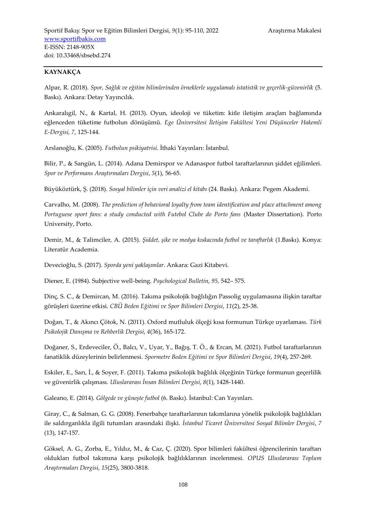# **KAYNAKÇA**

Alpar, R. (2018). *Spor, Sağlık ve eğitim bilimlerinden örneklerle uygulamalı istatistik ve geçerlik-güvenirlik* (5. Baskı). Ankara: Detay Yayıncılık.

Ankaralıgil, N., & Kartal, H. (2013). Oyun, ideoloji ve tüketim: kitle iletişim araçları bağlamında eğlenceden tüketime futbolun dönüşümü. *Ege Üniversitesi İletişim Fakültesi Yeni Düşünceler Hakemli E-Dergisi, 7*, 125-144.

Arslanoğlu, K. (2005). *Futbolun psikiyatrisi*. İthaki Yayınları: İstanbul.

Bilir, P., & Sangün, L. (2014). Adana Demirspor ve Adanaspor futbol taraftarlarının şiddet eğilimleri. *Spor ve Performans Araştırmaları Dergisi*, *5*(1), 56-65.

Büyüköztürk, Ş. (2018). *Sosyal bilimler için veri analizi el kitabı* (24. Baskı). Ankara: Pegem Akademi.

Carvalho, M. (2008). *The prediction of behavioral loyalty from team identification and place attachment among Portuguese sport fans: a study conducted with Futebol Clube do Porto fans* (Master Dissertation). Porto University, Porto.

Demir, M., & Talimciler, A. (2015). *Şiddet, şike ve medya kıskacında futbol ve taraftarlık* (1.Baskı). Konya: Literatür Academia.

Devecioğlu, S. (2017). *Sporda yeni yaklaşımlar*. Ankara: Gazi Kitabevi.

Diener, E. (1984). Subjective well-being. *Psychological Bulletin*, *95,* 542– 575.

Dinç, S. C., & Demircan, M. (2016). Takıma psikolojik bağlılığın Passolig uygulamasına ilişkin taraftar görüşleri üzerine etkisi. *CBÜ Beden Eğitimi ve Spor Bilimleri Dergisi*, *11*(2), 25-38.

Doğan, T., & Akıncı Çötok, N. (2011). Oxford mutluluk ölçeği kısa formunun Türkçe uyarlaması. *Türk Psikolojik Danışma ve Rehberlik Dergisi*, *4*(36), 165-172.

Doğaner, S., Erdeveciler, Ö., Balcı, V., Uyar, Y., Bağış, T. Ö., & Ercan, M. (2021). Futbol taraftarlarının fanatiklik düzeylerinin belirlenmesi. *Spormetre Beden Eğitimi ve Spor Bilimleri Dergisi*, *19*(4), 257-269.

Eskiler, E., Sarı, İ., & Soyer, F. (2011). Takıma psikolojik bağlılık ölçeğinin Türkçe formunun geçerlilik ve güvenirlik çalışması. *Uluslararası İnsan Bilimleri Dergisi*, *8*(1), 1428-1440.

Galeano, E. (2014). *Gölgede ve güneşte futbol* (6. Baskı). İstanbul: Can Yayınları.

Giray, C., & Salman, G. G. (2008). Fenerbahçe taraftarlarının takımlarına yönelik psikolojik bağlılıkları ile saldırganlıkla ilgili tutumları arasındaki ilişki. *İstanbul Ticaret Üniversitesi Sosyal Bilimler Dergisi*, *7* (13), 147-157.

Göksel, A. G., Zorba, E., Yıldız, M., & Caz, Ç. (2020). Spor bilimleri fakültesi öğrencilerinin taraftarı oldukları futbol takımına karşı psikolojik bağlılıklarının incelenmesi. *OPUS Uluslararası Toplum Araştırmaları Dergisi*, *15*(25), 3800-3818.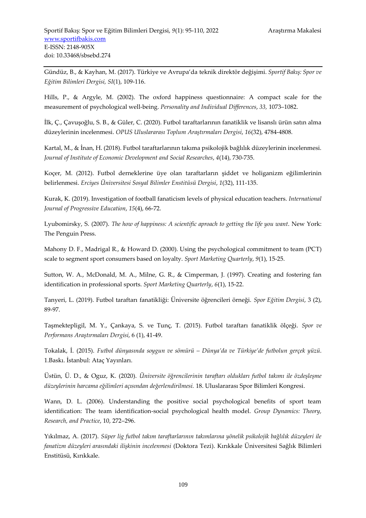Gündüz, B., & Kayhan, M. (2017). Türkiye ve Avrupa'da teknik direktör değişimi. *Sportif Bakış: Spor ve Eğitim Bilimleri Dergisi, SI*(1), 109-116.

Hills, P., & Argyle, M. (2002). The oxford happiness questionnaire: A compact scale for the measurement of psychological well-being. *Personality and Individual Differences*, *33,* 1073–1082.

İlk, Ç., Çavuşoğlu, S. B., & Güler, C. (2020). Futbol taraftarlarının fanatiklik ve lisanslı ürün satın alma düzeylerinin incelenmesi. *OPUS Uluslararası Toplum Araştırmaları Dergisi*, *16*(32), 4784-4808.

Kartal, M., & İnan, H. (2018). Futbol taraftarlarının takıma psikolojik bağlılık düzeylerinin incelenmesi. *Journal of Institute of Economic Development and Social Researches*, *4*(14), 730-735.

Koçer, M. (2012). Futbol derneklerine üye olan taraftarların şiddet ve holiganizm eğilimlerinin belirlenmesi. *Erciyes Üniversitesi Sosyal Bilimler Enstitüsü Dergisi*, *1*(32), 111-135.

Kurak, K. (2019). Investigation of football fanaticism levels of physical education teachers. *International Journal of Progressive Education*, *15*(4), 66-72.

Lyubomirsky, S. (2007). *The how of happiness: A scientific aproach to getting the life you want*. New York: The Penguin Press.

Mahony D. F., Madrigal R., & Howard D. (2000). Using the psychological commitment to team (PCT) scale to segment sport consumers based on loyalty. *Sport Marketing Quarterly*, *9*(1), 15-25.

Sutton, W. A., McDonald, M. A., Milne, G. R., & Cimperman, J. (1997). Creating and fostering fan identification in professional sports. *Sport Marketing Quarterly*, *6*(1), 15-22.

Tanyeri, L. (2019). Futbol taraftarı fanatikliği: Üniversite öğrencileri örneği. *Spor Eğitim Dergisi*, 3 (2), 89-97.

Taşmektepligil, M. Y., Çankaya, S. ve Tunç, T. (2015). Futbol taraftarı fanatiklik ölçeği. *Spor ve Performans Araştırmaları Dergisi*, 6 (1), 41-49.

Tokalak, İ. (2015). *Futbol dünyasında soygun ve sömürü – Dünya'da ve Türkiye'de futbolun gerçek yüzü*. 1.Baskı. İstanbul: Ataç Yayınları.

Üstün, Ü. D., & Oguz, K. (2020). *Üniversite öğrencilerinin taraftarı oldukları futbol takımı ile özdeşleşme düzeylerinin harcama eğilimleri açısından değerlendirilmesi.* 18. Uluslararası Spor Bilimleri Kongresi.

Wann, D. L. (2006). Understanding the positive social psychological benefits of sport team identification: The team identification-social psychological health model. *Group Dynamics: Theory, Research, and Practice*, 10, 272–296.

Yıkılmaz, A. (2017). *Süper lig futbol takım taraftarlarının takımlarına yönelik psikolojik bağlılık düzeyleri ile fanatizm düzeyleri arasındaki ilişkinin incelenmesi* (Doktora Tezi). Kırıkkale Üniversitesi Sağlık Bilimleri Enstitüsü, Kırıkkale.